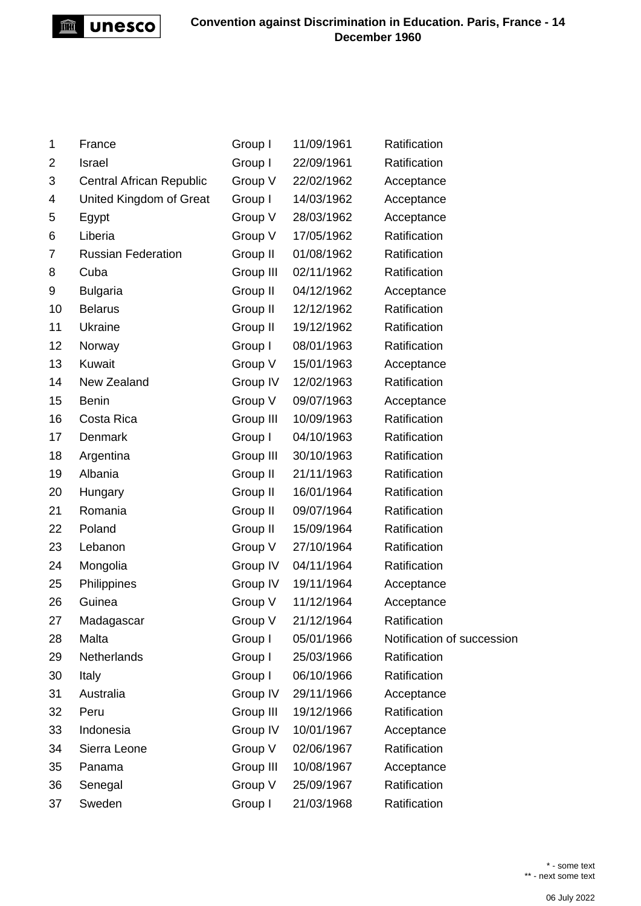

| 1  | France                          | Group I   | 11/09/1961 | Ratification               |
|----|---------------------------------|-----------|------------|----------------------------|
| 2  | <b>Israel</b>                   | Group I   | 22/09/1961 | Ratification               |
| 3  | <b>Central African Republic</b> | Group V   | 22/02/1962 | Acceptance                 |
| 4  | United Kingdom of Great         | Group I   | 14/03/1962 | Acceptance                 |
| 5  | Egypt                           | Group V   | 28/03/1962 | Acceptance                 |
| 6  | Liberia                         | Group V   | 17/05/1962 | Ratification               |
| 7  | <b>Russian Federation</b>       | Group II  | 01/08/1962 | Ratification               |
| 8  | Cuba                            | Group III | 02/11/1962 | Ratification               |
| 9  | <b>Bulgaria</b>                 | Group II  | 04/12/1962 | Acceptance                 |
| 10 | <b>Belarus</b>                  | Group II  | 12/12/1962 | Ratification               |
| 11 | Ukraine                         | Group II  | 19/12/1962 | Ratification               |
| 12 | Norway                          | Group I   | 08/01/1963 | Ratification               |
| 13 | Kuwait                          | Group V   | 15/01/1963 | Acceptance                 |
| 14 | New Zealand                     | Group IV  | 12/02/1963 | Ratification               |
| 15 | <b>Benin</b>                    | Group V   | 09/07/1963 | Acceptance                 |
| 16 | Costa Rica                      | Group III | 10/09/1963 | Ratification               |
| 17 | Denmark                         | Group I   | 04/10/1963 | Ratification               |
| 18 | Argentina                       | Group III | 30/10/1963 | Ratification               |
| 19 | Albania                         | Group II  | 21/11/1963 | Ratification               |
| 20 | Hungary                         | Group II  | 16/01/1964 | Ratification               |
| 21 | Romania                         | Group II  | 09/07/1964 | Ratification               |
| 22 | Poland                          | Group II  | 15/09/1964 | Ratification               |
| 23 | Lebanon                         | Group V   | 27/10/1964 | Ratification               |
| 24 | Mongolia                        | Group IV  | 04/11/1964 | Ratification               |
| 25 | Philippines                     | Group IV  | 19/11/1964 | Acceptance                 |
| 26 | Guinea                          | Group V   | 11/12/1964 | Acceptance                 |
| 27 | Madagascar                      | Group V   | 21/12/1964 | Ratification               |
| 28 | Malta                           | Group I   | 05/01/1966 | Notification of succession |
| 29 | Netherlands                     | Group I   | 25/03/1966 | Ratification               |
| 30 | Italy                           | Group I   | 06/10/1966 | Ratification               |
| 31 | Australia                       | Group IV  | 29/11/1966 | Acceptance                 |
| 32 | Peru                            | Group III | 19/12/1966 | Ratification               |
| 33 | Indonesia                       | Group IV  | 10/01/1967 | Acceptance                 |
| 34 | Sierra Leone                    | Group V   | 02/06/1967 | Ratification               |
| 35 | Panama                          | Group III | 10/08/1967 | Acceptance                 |
| 36 | Senegal                         | Group V   | 25/09/1967 | Ratification               |
| 37 | Sweden                          | Group I   | 21/03/1968 | Ratification               |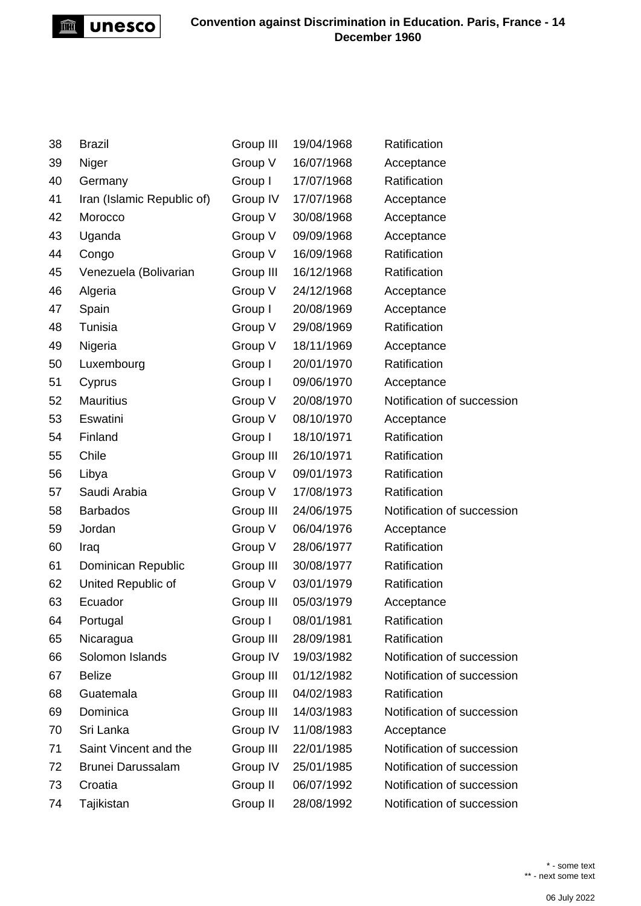

| 38 | <b>Brazil</b>              | Group III | 19/04/1968 | Ratification               |
|----|----------------------------|-----------|------------|----------------------------|
| 39 | Niger                      | Group V   | 16/07/1968 | Acceptance                 |
| 40 | Germany                    | Group I   | 17/07/1968 | Ratification               |
| 41 | Iran (Islamic Republic of) | Group IV  | 17/07/1968 | Acceptance                 |
| 42 | Morocco                    | Group V   | 30/08/1968 | Acceptance                 |
| 43 | Uganda                     | Group V   | 09/09/1968 | Acceptance                 |
| 44 | Congo                      | Group V   | 16/09/1968 | Ratification               |
| 45 | Venezuela (Bolivarian      | Group III | 16/12/1968 | Ratification               |
| 46 | Algeria                    | Group V   | 24/12/1968 | Acceptance                 |
| 47 | Spain                      | Group I   | 20/08/1969 | Acceptance                 |
| 48 | Tunisia                    | Group V   | 29/08/1969 | Ratification               |
| 49 | Nigeria                    | Group V   | 18/11/1969 | Acceptance                 |
| 50 | Luxembourg                 | Group I   | 20/01/1970 | Ratification               |
| 51 | Cyprus                     | Group I   | 09/06/1970 | Acceptance                 |
| 52 | <b>Mauritius</b>           | Group V   | 20/08/1970 | Notification of succession |
| 53 | Eswatini                   | Group V   | 08/10/1970 | Acceptance                 |
| 54 | Finland                    | Group I   | 18/10/1971 | Ratification               |
| 55 | Chile                      | Group III | 26/10/1971 | Ratification               |
| 56 | Libya                      | Group V   | 09/01/1973 | Ratification               |
| 57 | Saudi Arabia               | Group V   | 17/08/1973 | Ratification               |
| 58 | <b>Barbados</b>            | Group III | 24/06/1975 | Notification of succession |
| 59 | Jordan                     | Group V   | 06/04/1976 | Acceptance                 |
| 60 | Iraq                       | Group V   | 28/06/1977 | Ratification               |
| 61 | Dominican Republic         | Group III | 30/08/1977 | Ratification               |
| 62 | United Republic of         | Group V   | 03/01/1979 | Ratification               |
| 63 | Ecuador                    | Group III | 05/03/1979 | Acceptance                 |
| 64 | Portugal                   | Group I   | 08/01/1981 | Ratification               |
| 65 | Nicaragua                  | Group III | 28/09/1981 | Ratification               |
| 66 | Solomon Islands            | Group IV  | 19/03/1982 | Notification of succession |
| 67 | <b>Belize</b>              | Group III | 01/12/1982 | Notification of succession |
| 68 | Guatemala                  | Group III | 04/02/1983 | Ratification               |
| 69 | Dominica                   | Group III | 14/03/1983 | Notification of succession |
| 70 | Sri Lanka                  | Group IV  | 11/08/1983 | Acceptance                 |
| 71 | Saint Vincent and the      | Group III | 22/01/1985 | Notification of succession |
| 72 | Brunei Darussalam          | Group IV  | 25/01/1985 | Notification of succession |
| 73 | Croatia                    | Group II  | 06/07/1992 | Notification of succession |
| 74 | Tajikistan                 | Group II  | 28/08/1992 | Notification of succession |